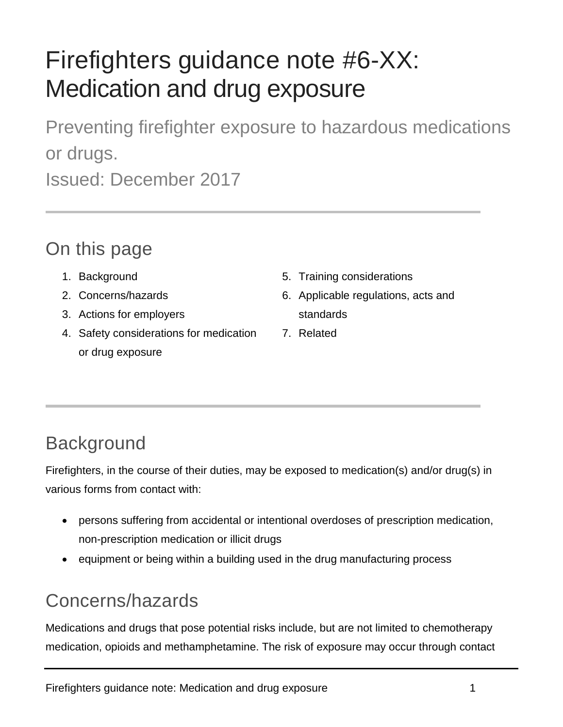# Firefighters guidance note #6-XX: Medication and drug exposure

Preventing firefighter exposure to hazardous medications or drugs. Issued: December 2017

#### On this page

- 1. Background
- 2. Concerns/hazards
- 3. Actions for employers
- 4. Safety considerations for medication or drug exposure
- 5. Training considerations
- 6. Applicable regulations, acts and standards
- 7. Related

## **Background**

Firefighters, in the course of their duties, may be exposed to medication(s) and/or drug(s) in various forms from contact with:

- persons suffering from accidental or intentional overdoses of prescription medication, non-prescription medication or illicit drugs
- equipment or being within a building used in the drug manufacturing process

### Concerns/hazards

Medications and drugs that pose potential risks include, but are not limited to chemotherapy medication, opioids and methamphetamine. The risk of exposure may occur through contact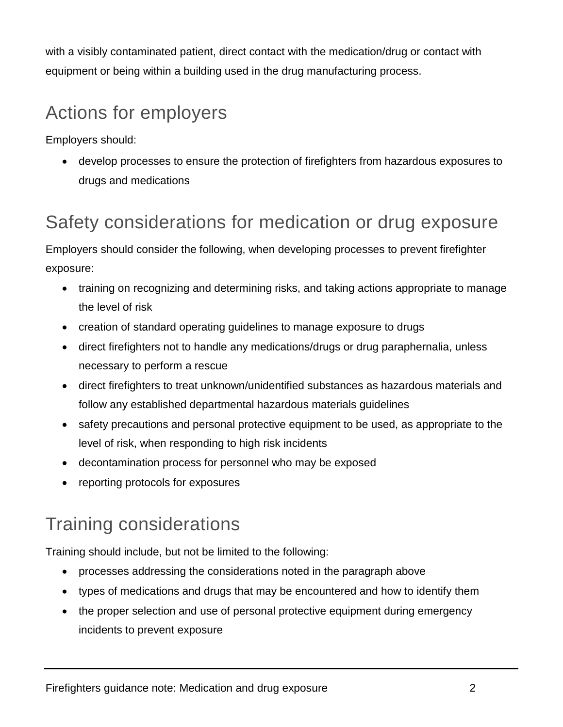with a visibly contaminated patient, direct contact with the medication/drug or contact with equipment or being within a building used in the drug manufacturing process.

### Actions for employers

Employers should:

• develop processes to ensure the protection of firefighters from hazardous exposures to drugs and medications

#### Safety considerations for medication or drug exposure

Employers should consider the following, when developing processes to prevent firefighter exposure:

- training on recognizing and determining risks, and taking actions appropriate to manage the level of risk
- creation of standard operating guidelines to manage exposure to drugs
- direct firefighters not to handle any medications/drugs or drug paraphernalia, unless necessary to perform a rescue
- direct firefighters to treat unknown/unidentified substances as hazardous materials and follow any established departmental hazardous materials guidelines
- safety precautions and personal protective equipment to be used, as appropriate to the level of risk, when responding to high risk incidents
- decontamination process for personnel who may be exposed
- reporting protocols for exposures

## Training considerations

Training should include, but not be limited to the following:

- processes addressing the considerations noted in the paragraph above
- types of medications and drugs that may be encountered and how to identify them
- the proper selection and use of personal protective equipment during emergency incidents to prevent exposure